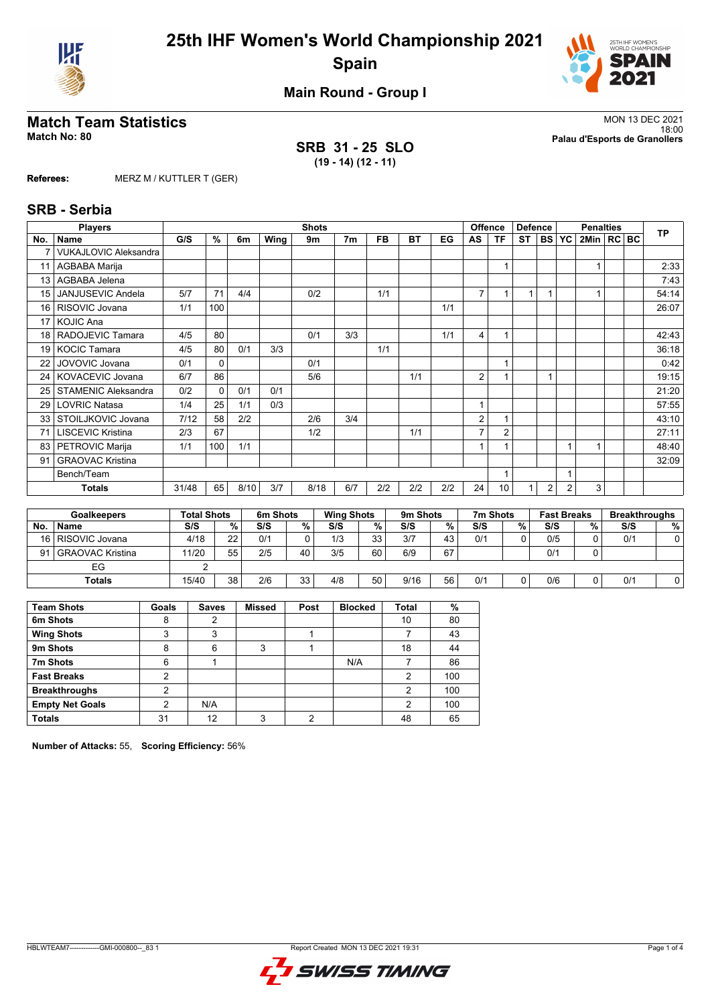



**Main Round - Group I**

## **Match Team Statistics** MON 13 DEC 2021

**SRB 31 - 25 SLO (19 - 14) (12 - 11)**

18:00 **Match No: 80 Palau d'Esports de Granollers**

**Referees:** MERZ M / KUTTLER T (GER)

#### **SRB - Serbia**

|     | <b>Players</b>               |       | <b>Shots</b><br>Offence |      |                 |      |                   |           | <b>Defence</b>  |     | <b>Penalties</b> |                      |           |           | <b>TP</b>          |      |    |     |                      |
|-----|------------------------------|-------|-------------------------|------|-----------------|------|-------------------|-----------|-----------------|-----|------------------|----------------------|-----------|-----------|--------------------|------|----|-----|----------------------|
| No. | <b>Name</b>                  | G/S   | $\%$                    | 6m   | Wing            | 9m   | 7 <sub>m</sub>    | <b>FB</b> | <b>BT</b>       | EG  | AS               | <b>TF</b>            | <b>ST</b> | <b>BS</b> | <b>YC</b>          | 2Min | RC | BC. |                      |
|     | <b>VUKAJLOVIC Aleksandra</b> |       |                         |      |                 |      |                   |           |                 |     |                  |                      |           |           |                    |      |    |     |                      |
| 11  | AGBABA Marija                |       |                         |      |                 |      |                   |           |                 |     |                  |                      |           |           |                    |      |    |     | 2:33                 |
| 13  | AGBABA Jelena                |       |                         |      |                 |      |                   |           |                 |     |                  |                      |           |           |                    |      |    |     | 7:43                 |
| 15  | JANJUSEVIC Andela            | 5/7   | 71                      | 4/4  |                 | 0/2  |                   | 1/1       |                 |     | $\overline{7}$   |                      | 1         |           |                    |      |    |     | 54:14                |
| 16  | RISOVIC Jovana               | 1/1   | 100                     |      |                 |      |                   |           |                 | 1/1 |                  |                      |           |           |                    |      |    |     | 26:07                |
| 17  | <b>KOJIC Ana</b>             |       |                         |      |                 |      |                   |           |                 |     |                  |                      |           |           |                    |      |    |     |                      |
| 18  | RADOJEVIC Tamara             | 4/5   | 80                      |      |                 | 0/1  | 3/3               |           |                 | 1/1 | 4                |                      |           |           |                    |      |    |     | 42:43                |
| 19  | <b>KOCIC Tamara</b>          | 4/5   | 80                      | 0/1  | 3/3             |      |                   | 1/1       |                 |     |                  |                      |           |           |                    |      |    |     | 36:18                |
| 22  | <b>JOVOVIC Jovana</b>        | 0/1   | 0                       |      |                 | 0/1  |                   |           |                 |     |                  |                      |           |           |                    |      |    |     | 0:42                 |
| 24  | KOVACEVIC Jovana             | 6/7   | 86                      |      |                 | 5/6  |                   |           | 1/1             |     | 2                |                      |           |           |                    |      |    |     | 19:15                |
| 25  | <b>STAMENIC Aleksandra</b>   | 0/2   | $\Omega$                | 0/1  | 0/1             |      |                   |           |                 |     |                  |                      |           |           |                    |      |    |     | 21:20                |
| 29  | <b>LOVRIC Natasa</b>         | 1/4   | 25                      | 1/1  | 0/3             |      |                   |           |                 |     | 1                |                      |           |           |                    |      |    |     | 57:55                |
| 33  | STOILJKOVIC Jovana           | 7/12  | 58                      | 2/2  |                 | 2/6  | 3/4               |           |                 |     | 2                |                      |           |           |                    |      |    |     | 43:10                |
|     | <b>LISCEVIC Kristina</b>     | 2/3   | 67                      |      |                 | 1/2  |                   |           | 1/1             |     | $\overline{7}$   | $\overline{2}$       |           |           |                    |      |    |     | 27:11                |
| 83  | PETROVIC Marija              | 1/1   | 100                     | 1/1  |                 |      |                   |           |                 |     |                  |                      |           |           |                    |      |    |     | 48:40                |
| 91  | <b>GRAOVAC Kristina</b>      |       |                         |      |                 |      |                   |           |                 |     |                  |                      |           |           |                    |      |    |     | 32:09                |
|     | Bench/Team                   |       |                         |      |                 |      |                   |           |                 |     |                  |                      |           |           |                    |      |    |     |                      |
|     | <b>Totals</b>                | 31/48 | 65                      | 8/10 | 3/7             | 8/18 | 6/7               | 2/2       | 2/2             | 2/2 | 24               | 10 <sup>1</sup>      |           | 2         | $\overline{2}$     | 3    |    |     |                      |
|     | Coalkoopere                  |       | <b>Total Shote</b>      |      | <b>Am Shote</b> |      | <b>Wing Shote</b> |           | <b>Qm Shote</b> |     |                  | 7 <sub>m</sub> Chote |           |           | <b>Fact Brooke</b> |      |    |     | <b>Rroskthroughe</b> |

|     | Goalkeepers         | Total Shots |    | 6m Shots |    | <b>Wing Shots</b> |    | 9m Shots |    | 7m Shots |   | <b>Fast Breaks</b> |   | <b>Breakthroughs</b> |   |
|-----|---------------------|-------------|----|----------|----|-------------------|----|----------|----|----------|---|--------------------|---|----------------------|---|
| No. | <b>Name</b>         | S/S         | %  | S/S      | %  | S/S               | %  | S/S      | %  | S/S      | % | S/S                | % | S/S                  | % |
|     | 16   RISOVIC Jovana | 4/18        | 22 | 0/1      |    | 1/3               | 33 | 3/7      | 43 | 0/1      |   | 0/5                |   | 0/1                  |   |
| 91  | l GRAOVAC Kristina  | 11/20       | 55 | 2/5      | 40 | 3/5               | 60 | 6/9      | 67 |          |   | 0/1                |   |                      |   |
|     | EG                  |             |    |          |    |                   |    |          |    |          |   |                    |   |                      |   |
|     | Totals              | 15/40       | 38 | 2/6      | 33 | 4/8               | 50 | 9/16     | 56 | 0/1      |   | 0/6                |   | 0/1                  |   |

| <b>Team Shots</b>      | Goals | <b>Saves</b> | <b>Missed</b> | Post | <b>Blocked</b> | <b>Total</b> | $\%$ |
|------------------------|-------|--------------|---------------|------|----------------|--------------|------|
| 6m Shots               | 8     |              |               |      |                | 10           | 80   |
| <b>Wing Shots</b>      | 3     | 3            |               |      |                |              | 43   |
| 9m Shots               | 8     | 6            | 3             |      |                | 18           | 44   |
| 7m Shots               | 6     |              |               |      | N/A            |              | 86   |
| <b>Fast Breaks</b>     | 2     |              |               |      |                | 2            | 100  |
| <b>Breakthroughs</b>   | ◠     |              |               |      |                | 2            | 100  |
| <b>Empty Net Goals</b> | 2     | N/A          |               |      |                | 2            | 100  |
| <b>Totals</b>          | 31    | 12           | 3             | 2    |                | 48           | 65   |

**Number of Attacks:** 55, **Scoring Efficiency:** 56%

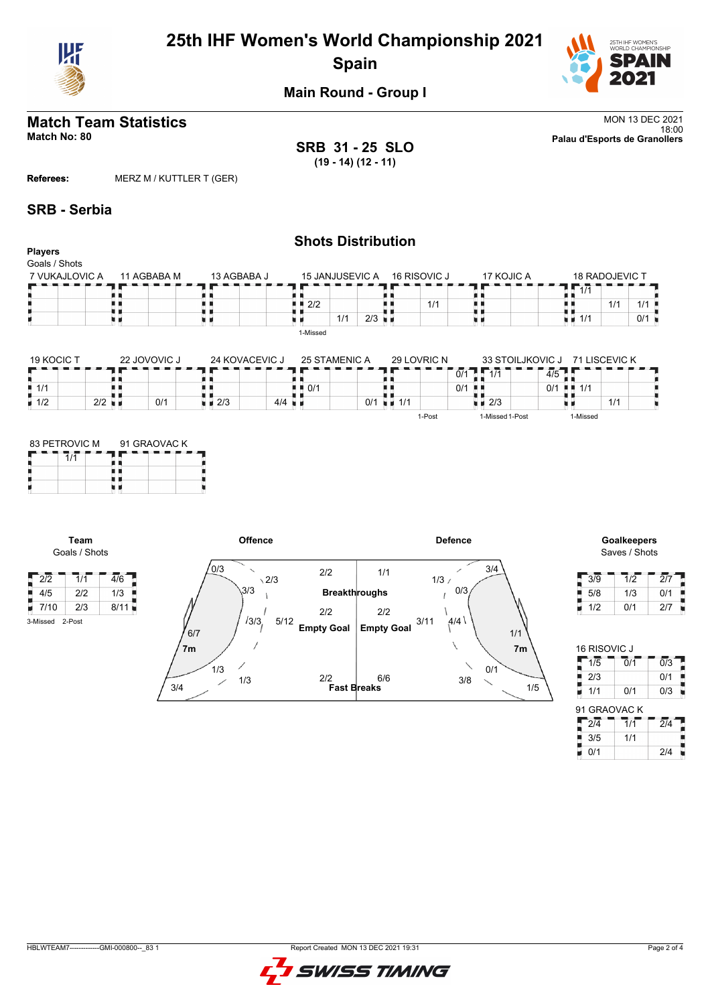

# **25th IHF Women's World Championship 2021 Spain**



**Main Round - Group I**

# **Match Team Statistics** MON 13 DEC 2021

**SRB 31 - 25 SLO (19 - 14) (12 - 11)**

**Shots Distribution**

18:00 **Match No: 80 Palau d'Esports de Granollers**

**Referees:** MERZ M / KUTTLER T (GER)

#### **SRB - Serbia**

 $\begin{array}{c|c|c|c|c} \hline \cdots & \quad & \quad & \quad & \quad \\ \hline 1/2 & & 2/2 & & \quad \quad & \quad \end{array}$ 

**Team** Goals / Shots

3-Missed 2-Post

Н

#### **Players** Goals / Shots 7 VUKAJLOVIC A 11 AGBABA M 13 AGBABA J 15 JANJUSEVIC A 17 KOJIC A  $- - -$  18 RADOJEVIC T 15 JANJUSEVIC A 16 RISOVIC J  $7.17$ TЕ п 89  $\frac{2}{2}$ <br> $\frac{2}{2}$ Œ A R R,  $\begin{array}{|c|c|c|c|}\n\hline\n1/1 & 1/1 & 1/1 \\
\hline\n1 & 1/1 & 0/1 \\
\hline\n\end{array}$ H Į, 1/1 55  $1/1$  1/1 ж ā  $1/1$  2/3 u s υø u s u a x 1-Missed 19 KOCIC T 22 JOVOVIC J 24 KOVACEVIC J 25 STAMENIC A 29 LOVRIC N 33 STOILJKOVIC J 71 LISCEVIC K  $7\overline{17}$ е a a n m a m  $0/1$ 5 i<br>1 0/1<br>1 5  $\frac{1}{1/1}$ ł. 8 ÄВ n e  $0/1$   $\blacksquare$

 $10/1$  um  $1/1$ 

1-Post

 $\frac{1}{2}$  2/3 1-Missed 1-Post

×.

| 83 PETROVIC M | 91 GRAOVAC K |  |
|---------------|--------------|--|
|               |              |  |
|               |              |  |
|               |              |  |

 $0/1$ 

 $\frac{1}{2/3}$  4/4



# Saves / Shots

1/1

0/1 1/1

1-Missed

| 3/9 | 1/2 | 2/7 |
|-----|-----|-----|
| 5/8 | 1/3 | 0/1 |
| 1/2 | 0/1 | 2/7 |

| 16 RISOVIC J     |                  |                  |
|------------------|------------------|------------------|
| 1/5              | $\overline{0}/1$ | 0/3              |
| 2/3              |                  | 0/1              |
| 1/1              | 0/1              | 0/3              |
| 91 GRAOVAC K     |                  |                  |
| $\overline{2/4}$ | $\overline{1/1}$ | $\overline{2/4}$ |
| 3/5              | 1/1              |                  |
| 0/1              |                  | 2/4              |

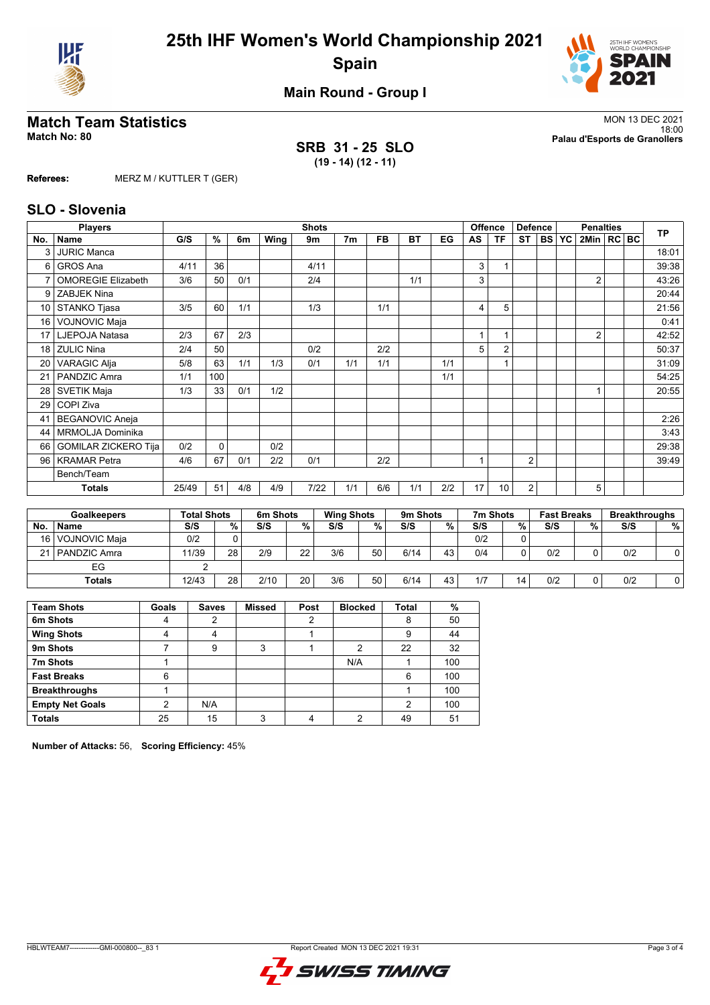



**Main Round - Group I**

## **Match Team Statistics** MON 13 DEC 2021

**SRB 31 - 25 SLO (19 - 14) (12 - 11)**

18:00 **Match No: 80 Palau d'Esports de Granollers**

**Referees:** MERZ M / KUTTLER T (GER)

#### **SLO - Slovenia**

|                 | <b>Players</b>              |       |               |     |      | <b>Shots</b> |                |           |     |     |              | Offence        | <b>Defence</b> |              | <b>Penalties</b> |  | <b>TP</b> |
|-----------------|-----------------------------|-------|---------------|-----|------|--------------|----------------|-----------|-----|-----|--------------|----------------|----------------|--------------|------------------|--|-----------|
| No.             | Name                        | G/S   | $\frac{9}{6}$ | 6m  | Wing | 9m           | 7 <sub>m</sub> | <b>FB</b> | ВT  | EG  | AS           | ΤF             | <b>ST</b>      | <b>BS YC</b> | 2Min   RC BC     |  |           |
| 3               | <b>JURIC Manca</b>          |       |               |     |      |              |                |           |     |     |              |                |                |              |                  |  | 18:01     |
| 6               | GROS Ana                    | 4/11  | 36            |     |      | 4/11         |                |           |     |     | 3            |                |                |              |                  |  | 39:38     |
| 7               | <b>OMOREGIE Elizabeth</b>   | 3/6   | 50            | 0/1 |      | 2/4          |                |           | 1/1 |     | 3            |                |                |              | $\overline{2}$   |  | 43:26     |
| 9               | <b>ZABJEK Nina</b>          |       |               |     |      |              |                |           |     |     |              |                |                |              |                  |  | 20:44     |
| 10              | STANKO Tjasa                | 3/5   | 60            | 1/1 |      | 1/3          |                | 1/1       |     |     | 4            | 5              |                |              |                  |  | 21:56     |
| 16 <sup>1</sup> | VOJNOVIC Maja               |       |               |     |      |              |                |           |     |     |              |                |                |              |                  |  | 0:41      |
| 17 <sub>1</sub> | LJEPOJA Natasa              | 2/3   | 67            | 2/3 |      |              |                |           |     |     | 1            |                |                |              | $\overline{2}$   |  | 42:52     |
|                 | 18 ZULIC Nina               | 2/4   | 50            |     |      | 0/2          |                | 2/2       |     |     | 5            | $\overline{2}$ |                |              |                  |  | 50:37     |
| 20              | <b>VARAGIC Alja</b>         | 5/8   | 63            | 1/1 | 1/3  | 0/1          | 1/1            | 1/1       |     | 1/1 |              |                |                |              |                  |  | 31:09     |
| 21              | PANDZIC Amra                | 1/1   | 100           |     |      |              |                |           |     | 1/1 |              |                |                |              |                  |  | 54:25     |
| 28              | <b>SVETIK Maja</b>          | 1/3   | 33            | 0/1 | 1/2  |              |                |           |     |     |              |                |                |              |                  |  | 20:55     |
| 29              | COPI Ziva                   |       |               |     |      |              |                |           |     |     |              |                |                |              |                  |  |           |
| 41              | <b>BEGANOVIC Aneja</b>      |       |               |     |      |              |                |           |     |     |              |                |                |              |                  |  | 2:26      |
| 44              | MRMOLJA Dominika            |       |               |     |      |              |                |           |     |     |              |                |                |              |                  |  | 3:43      |
| 66              | <b>GOMILAR ZICKERO Tija</b> | 0/2   | $\mathbf 0$   |     | 0/2  |              |                |           |     |     |              |                |                |              |                  |  | 29:38     |
| 96              | <b>KRAMAR Petra</b>         | 4/6   | 67            | 0/1 | 2/2  | 0/1          |                | 2/2       |     |     | $\mathbf{1}$ |                | 2              |              |                  |  | 39:49     |
|                 | Bench/Team                  |       |               |     |      |              |                |           |     |     |              |                |                |              |                  |  |           |
|                 | <b>Totals</b>               | 25/49 | 51            | 4/8 | 4/9  | $7/22$       | 1/1            | 6/6       | 1/1 | 2/2 | 17           | 10             | $\overline{c}$ |              | 5                |  |           |
|                 |                             |       |               |     |      |              |                |           |     |     |              |                |                |              |                  |  |           |

|     | <b>Goalkeepers</b> | <b>Total Shots</b> |    | 6m Shots |    | <b>Wing Shots</b> |    | 9 <sub>m</sub> Shots |    | 7m Shots |    | <b>Fast Breaks</b> |    | <b>Breakthroughs</b> |    |
|-----|--------------------|--------------------|----|----------|----|-------------------|----|----------------------|----|----------|----|--------------------|----|----------------------|----|
| No. | <b>Name</b>        | S/S                | %  | S/S      | %  | S/S               | %  | S/S                  | %. | S/S      | %  | S/S                | %. | S/S                  | %। |
|     | 16   VOJNOVIC Maja | 0/2                |    |          |    |                   |    |                      |    | 0/2      |    |                    |    |                      |    |
|     | 21   PANDZIC Amra  | 11/39              | 28 | 2/9      | 22 | 3/6               | 50 | 6/14                 | 43 | 0/4      |    | 0/2                |    | 0/2                  |    |
|     | EG                 |                    |    |          |    |                   |    |                      |    |          |    |                    |    |                      |    |
|     | <b>Totals</b>      | 12/43              | 28 | 2/10     | 20 | 3/6               | 50 | 6/14                 | 43 | 1/7      | 14 | 0/2                |    | 0/2                  |    |

| <b>Team Shots</b>      | Goals | <b>Saves</b> | <b>Missed</b> | Post | <b>Blocked</b> | <b>Total</b> | %   |
|------------------------|-------|--------------|---------------|------|----------------|--------------|-----|
| 6m Shots               |       |              |               |      |                | 8            | 50  |
| <b>Wing Shots</b>      |       | 4            |               |      |                | 9            | 44  |
| 9m Shots               |       | 9            | 3             |      | 2              | 22           | 32  |
| 7m Shots               |       |              |               |      | N/A            |              | 100 |
| <b>Fast Breaks</b>     | 6     |              |               |      |                | 6            | 100 |
| <b>Breakthroughs</b>   |       |              |               |      |                |              | 100 |
| <b>Empty Net Goals</b> | 2     | N/A          |               |      |                | 2            | 100 |
| <b>Totals</b>          | 25    | 15           | ົ             | 4    | 2              | 49           | 51  |

**Number of Attacks:** 56, **Scoring Efficiency:** 45%